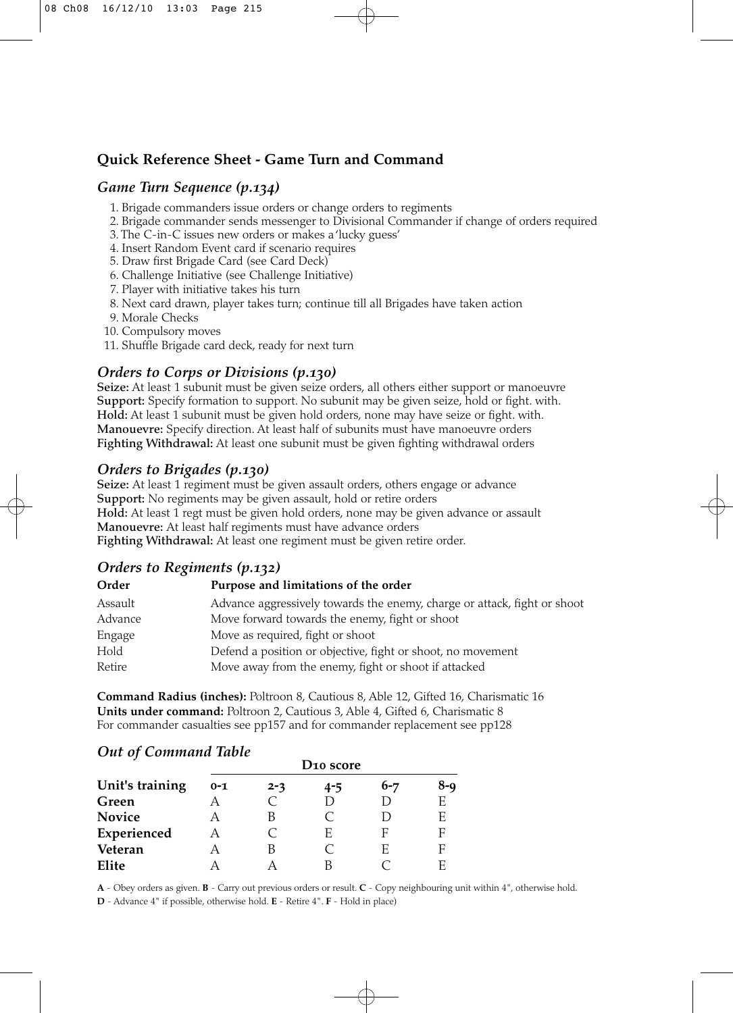#### **Quick Reference Sheet - Game Turn and Command**

### *Game Turn Sequence (p.134)*

- 1. Brigade commanders issue orders or change orders to regiments
- 2. Brigade commander sends messenger to Divisional Commander if change of orders required
- 3. The C-in-C issues new orders or makes a 'lucky guess'
- 4. Insert Random Event card if scenario requires
- 5. Draw first Brigade Card (see Card Deck)
- 6. Challenge Initiative (see Challenge Initiative)
- 7. Player with initiative takes his turn
- 8. Next card drawn, player takes turn; continue till all Brigades have taken action
- 9. Morale Checks
- 10. Compulsory moves
- 11. Shuffle Brigade card deck, ready for next turn

#### *Orders to Corps or Divisions (p.130)*

**Seize:** At least 1 subunit must be given seize orders, all others either support or manoeuvre **Support:** Specify formation to support. No subunit may be given seize, hold or fight. with. **Hold:** At least 1 subunit must be given hold orders, none may have seize or fight. with. **Manouevre:** Specify direction. At least half of subunits must have manoeuvre orders **Fighting Withdrawal:** At least one subunit must be given fighting withdrawal orders

#### *Orders to Brigades (p.130)*

**Seize:** At least 1 regiment must be given assault orders, others engage or advance **Support:** No regiments may be given assault, hold or retire orders **Hold:** At least 1 regt must be given hold orders, none may be given advance or assault **Manouevre:** At least half regiments must have advance orders **Fighting Withdrawal:** At least one regiment must be given retire order.

#### *Orders to Regiments (p.132)*

| Order   | Purpose and limitations of the order                                     |
|---------|--------------------------------------------------------------------------|
| Assault | Advance aggressively towards the enemy, charge or attack, fight or shoot |
| Advance | Move forward towards the enemy, fight or shoot                           |
| Engage  | Move as required, fight or shoot                                         |
| Hold    | Defend a position or objective, fight or shoot, no movement              |
| Retire  | Move away from the enemy, fight or shoot if attacked                     |

**Command Radius (inches):** Poltroon 8, Cautious 8, Able 12, Gifted 16, Charismatic 16 **Units under command:** Poltroon 2, Cautious 3, Able 4, Gifted 6, Charismatic 8 For commander casualties see pp157 and for commander replacement see pp128

#### *Out of Command Table*

|                 |         |         | D <sub>10</sub> score |         |     |
|-----------------|---------|---------|-----------------------|---------|-----|
| Unit's training | $0 - 1$ | $2 - 3$ | $4 - 5$               | $6 - 7$ | 8-g |
| Green           |         |         |                       |         | F.  |
| <b>Novice</b>   |         |         | $\subset$             |         | F.  |
| Experienced     | А       |         | E                     | F       |     |
| Veteran         |         |         | $\subset$             | E       | F   |
| Elite           |         |         |                       |         | F   |

**A** - Obey orders as given. **B** - Carry out previous orders or result. **C** - Copy neighbouring unit within 4", otherwise hold.

**D** - Advance 4" if possible, otherwise hold. **E** - Retire 4". **F** - Hold in place)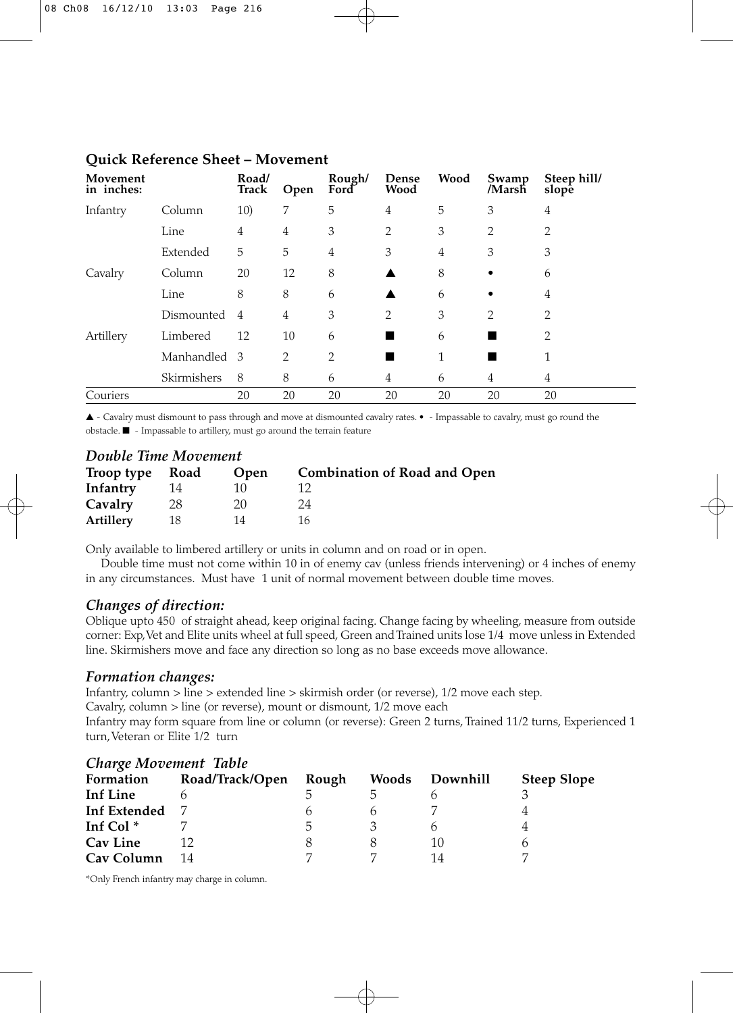| Movement<br>in inches: |              | Road/<br>Track | Open           | Rough/<br>Ford | Dense<br>Wood  | Wood | Swamp<br>/Marsh | Steep hill/<br>slope |
|------------------------|--------------|----------------|----------------|----------------|----------------|------|-----------------|----------------------|
| Infantry               | Column       | 10)            | 7              | 5              | $\overline{4}$ | 5    | 3               | 4                    |
|                        | Line         | 4              | $\overline{4}$ | 3              | 2              | 3    | 2               | 2                    |
|                        | Extended     | 5              | 5              | $\overline{4}$ | 3              | 4    | 3               | 3                    |
| Cavalry                | Column       | 20             | 12             | 8              |                | 8    |                 | 6                    |
|                        | Line         | 8              | 8              | 6              |                | 6    |                 | 4                    |
|                        | Dismounted   | $\overline{4}$ | 4              | 3              | 2              | 3    | $\overline{2}$  | $\overline{2}$       |
| Artillery              | Limbered     | 12             | 10             | 6              |                | 6    |                 | $\overline{2}$       |
|                        | Manhandled 3 |                | $\overline{2}$ | $\overline{2}$ |                | 1    |                 | 1                    |
|                        | Skirmishers  | 8              | 8              | 6              | $\overline{4}$ | 6    | 4               | 4                    |
| Couriers               |              | 20             | 20             | 20             | 20             | 20   | 20              | 20                   |

#### **Quick Reference Sheet – Movement**

▲ - Cavalry must dismount to pass through and move at dismounted cavalry rates. • - Impassable to cavalry, must go round the obstacle. ■ - Impassable to artillery, must go around the terrain feature

#### *Double Time Movement*

| Troop type Road |    | <b>Open</b> | <b>Combination of Road and Open</b> |
|-----------------|----|-------------|-------------------------------------|
| Infantry        |    |             |                                     |
| Cavalry         | 28 | 20          | 74                                  |
| Artillery       | 18 |             |                                     |

Only available to limbered artillery or units in column and on road or in open.

Double time must not come within 10 in of enemy cav (unless friends intervening) or 4 inches of enemy in any circumstances. Must have 1 unit of normal movement between double time moves.

#### *Changes of direction:*

Oblique upto 450 of straight ahead, keep original facing. Change facing by wheeling, measure from outside corner: Exp,Vet and Elite units wheel at full speed, Green and Trained units lose 1/4 move unless in Extended line. Skirmishers move and face any direction so long as no base exceeds move allowance.

#### *Formation changes:*

Infantry, column > line > extended line > skirmish order (or reverse), 1/2 move each step. Cavalry, column > line (or reverse), mount or dismount, 1/2 move each Infantry may form square from line or column (or reverse): Green 2 turns, Trained 11/2 turns, Experienced 1 turn, Veteran or Elite 1/2 turn

| Charge movement Thole |   |              |    |                    |  |  |  |  |  |  |
|-----------------------|---|--------------|----|--------------------|--|--|--|--|--|--|
| Road/Track/Open       |   | <b>Woods</b> |    | <b>Steep Slope</b> |  |  |  |  |  |  |
|                       |   |              |    |                    |  |  |  |  |  |  |
|                       |   |              |    |                    |  |  |  |  |  |  |
|                       | h |              |    |                    |  |  |  |  |  |  |
|                       |   |              | 10 |                    |  |  |  |  |  |  |
|                       |   |              | 14 |                    |  |  |  |  |  |  |
|                       |   | Rough        |    | Downhill           |  |  |  |  |  |  |

#### *Charge Movement Table*

\*Only French infantry may charge in column.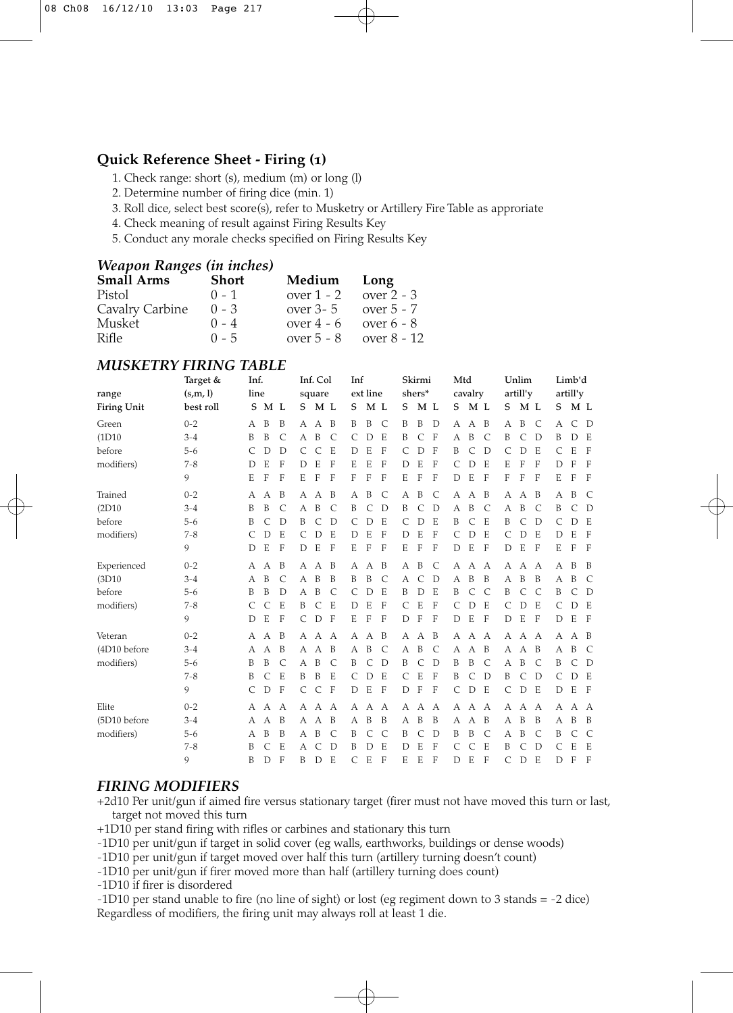#### **Quick Reference Sheet - Firing (1)**

- 1. Check range: short (s), medium (m) or long (l)
- 2. Determine number of firing dice (min. 1)
- 3. Roll dice, select best score(s), refer to Musketry or Artillery Fire Table as approriate
- 4. Check meaning of result against Firing Results Key
- 5. Conduct any morale checks specified on Firing Results Key

#### *Weapon Ranges (in inches)*

| <b>Small Arms</b> | <b>Short</b> | Medium Long               |                            |
|-------------------|--------------|---------------------------|----------------------------|
| Pistol            | $0 - 1$      | over $1 - 2$ over $2 - 3$ |                            |
| Cavalry Carbine   | $0 - 3$      | over $3 - 5$ over $5 - 7$ |                            |
| Musket            | $0 - 4$      | over $4 - 6$ over $6 - 8$ |                            |
| Rifle             | $0 - 5$      |                           | over $5 - 8$ over $8 - 12$ |

#### *MUSKETRY FIRING TABLE*

|                    | Target &  | Inf. |              |              |               | Inf. Col     |              | Inf          |              |              |   | Skirmi       |              | Mtd |              |               |   | Unlim          |                |   | Limb'd       |                |
|--------------------|-----------|------|--------------|--------------|---------------|--------------|--------------|--------------|--------------|--------------|---|--------------|--------------|-----|--------------|---------------|---|----------------|----------------|---|--------------|----------------|
| range              | (s,m, l)  |      | line         |              |               | square       |              |              | ext line     |              |   | shers*       |              |     | cavalry      |               |   | artill'y       |                |   | artill'y     |                |
| <b>Firing Unit</b> | best roll | S    | M L          |              | S.            | M L          |              | S            | M L          |              | S | M L          |              | S   | M L          |               | S | M <sub>L</sub> |                | S | M L          |                |
| Green              | $0 - 2$   | А    | B            | B            |               | A A          | - B          | B            | B            | C            | B | B            | D            | A   | A B          |               | А | B              | C              | А | C            | D              |
| (1D10)             | $3 - 4$   | B    | B            | C            | A             | B            | C            | $\mathsf{C}$ | D            | Ε            | B | C            | F            | А   | B            | C             | B | $\mathsf{C}$   | D              | B | D            | E              |
| before             | $5 - 6$   | C    | D            | D            | C             | $\mathsf{C}$ | E            | D            | E            | $\mathbf{F}$ | C | D            | $\mathbf{F}$ | B   | $\mathsf{C}$ | D             | C | D              | E              | C | E            | $\mathbf{F}$   |
| modifiers)         | $7 - 8$   | D    | Е            | F            | D             | E            | F            | E            | E            | F            | D | E            | $\mathbf{F}$ | C   | D            | E             | E | F              | $\mathbf{F}$   | D | F            | $\mathbf{F}$   |
|                    | 9         | E    | F            | $\mathbf{F}$ | Ε             | $\mathbf{F}$ | $\mathbf{F}$ | F            | F            | $\mathbf{F}$ | E | F            | $\mathbf{F}$ | D   | E            | $\mathbf{F}$  | F | F              | $\mathbf{F}$   | Е | F            | F              |
| Trained            | $0 - 2$   | А    | А            | B            | A             | А            | B            | А            | B            | C            | А | B            | C            | А   | А            | B             | А | A              | $\overline{B}$ | А | B            | C              |
| (2D10)             | $3 - 4$   | B    | B            | C            | A             | B            | C            | B            | $\mathsf{C}$ | D            | B | $\mathsf{C}$ | D            | A   | B            | C             | А | B              | $\mathcal{C}$  | B | C            | D              |
| before             | $5 - 6$   | B    | $\mathsf{C}$ | D            | B             | C            | D            | $\mathsf{C}$ | D            | Ε            | C | D            | E            | B   | C            | E             | B | $\mathsf{C}$   | D              | C | D            | E              |
| modifiers)         | $7 - 8$   | C    | D            | E            | $\mathcal{C}$ | D            | Е            | D            | E            | $\mathbf{F}$ | D | E            | $\mathbf{F}$ | C   | D            | E             | C | D              | E              | D | E            | $\mathbf{F}$   |
|                    | 9         | D    | E            | F            | D             | E            | F            | E            | F            | F            | E | F            | F            | D   | E            | $\mathbf{F}$  | D | E              | F              | Е | F            | F              |
| Experienced        | $0 - 2$   | А    | А            | B            | A             | А            | B            | А            | А            | B            | А | B            | C            | А   | A A          |               | А | A A            |                | А | B            | B              |
| (3D10)             | $3 - 4$   | А    | B            | C            | A             | B            | B            | B            | B            | C            | А | C            | D            | А   | B            | B             | А | B              | B              | А | B            | C              |
| before             | $5 - 6$   | B    | B            | D            | A             | B            | C            | C            | D            | Ε            | B | D            | E            | B   | C            | $\mathsf{C}$  | B | $\mathsf{C}$   | $\mathsf{C}$   | B | $\mathsf{C}$ | D              |
| modifiers)         | $7 - 8$   | C    | $\mathsf{C}$ | E            | B             | C            | E            | D            | E            | $\mathbf{F}$ | C | E            | F            | C   | D            | Ε             | C | D              | E              | C | D            | E              |
|                    | 9         | D    | E            | F            | $\mathcal{C}$ | D            | $\mathbf{F}$ | E            | F            | F            | D | $\mathbf{F}$ | $\mathbf{F}$ | D   | E            | $\mathbf{F}$  | D | E              | -F             | D | E            | - F            |
| Veteran            | $0 - 2$   | А    | А            | B            | A             | А            | А            | А            | А            | B            | А | А            | B            | А   | A            | A             | А | А              | A              | А | A            | $\overline{B}$ |
| (4D10 before       | $3 - 4$   | А    | A            | B            | A             | $\mathbf{A}$ | B            | А            | B            | C            | А | B            | $\mathsf{C}$ | A   | A B          |               | А | A B            |                | A | B            | $\mathsf{C}$   |
| modifiers)         | $5 - 6$   | B    | B            | C            | $\mathsf{A}$  | B            | C            | B            | C            | D            | B | C            | D            | B   | B            | $\mathcal{C}$ | А | B              | C              | B | C            | D              |
|                    | $7 - 8$   | B    | $\mathsf{C}$ | E            | B             | B            | Е            | $\mathsf{C}$ | D            | Ε            | C | E            | $\mathbf{F}$ | B   | C            | D             | B | $\mathsf{C}$   | D              | C | D            | E              |
|                    | 9         | C    | D            | F            | C             | C            | F            | D            | E            | F            | D | F            | F            | C   | D            | E             | C | D              | E              | D | E            | - F            |
| Elite              | $0 - 2$   | А    | А            | А            | А             | A            | A            | А            | А            | A            | А | А            | А            |     | A A A        |               | А | A A            |                | А | A A          |                |
| (5D10 before       | $3 - 4$   | А    | A            | B            | A             | $\mathbf{A}$ | B            | А            | B            | B            | А | B            | B            | А   | $\mathbf{A}$ | B             | А | B              | B              | А | B            | B              |
| modifiers)         | $5 - 6$   | А    | B            | B            | A             | B            | C            | B            | $\mathsf{C}$ | C            | B | $\mathsf{C}$ | D            | B   | B            | $\mathsf{C}$  | А | B              | C              | B | $\mathsf{C}$ | $\mathsf{C}$   |
|                    | $7 - 8$   | В    | C            | Ε            | А             | C            | D            | В            | D            | Е            | D | E            | F            | C   | C            | Ε             | B | C              | $\mathcal{D}$  | C | E            | E              |
|                    | 9         | B    | D            | $\mathbf{F}$ | B             | D            | E            | C            | E            | F            | E | E            | F            | D   | Ε            | $\mathbf{F}$  | C | D              | E              | D | F            | $\mathbf{F}$   |

#### *FIRING MODIFIERS*

+2d10 Per unit/gun if aimed fire versus stationary target (firer must not have moved this turn or last, target not moved this turn

+1D10 per stand firing with rifles or carbines and stationary this turn

-1D10 per unit/gun if target in solid cover (eg walls, earthworks, buildings or dense woods)

-1D10 per unit/gun if target moved over half this turn (artillery turning doesn't count)

-1D10 per unit/gun if firer moved more than half (artillery turning does count)

-1D10 if firer is disordered

-1D10 per stand unable to fire (no line of sight) or lost (eg regiment down to 3 stands = -2 dice) Regardless of modifiers, the firing unit may always roll at least 1 die.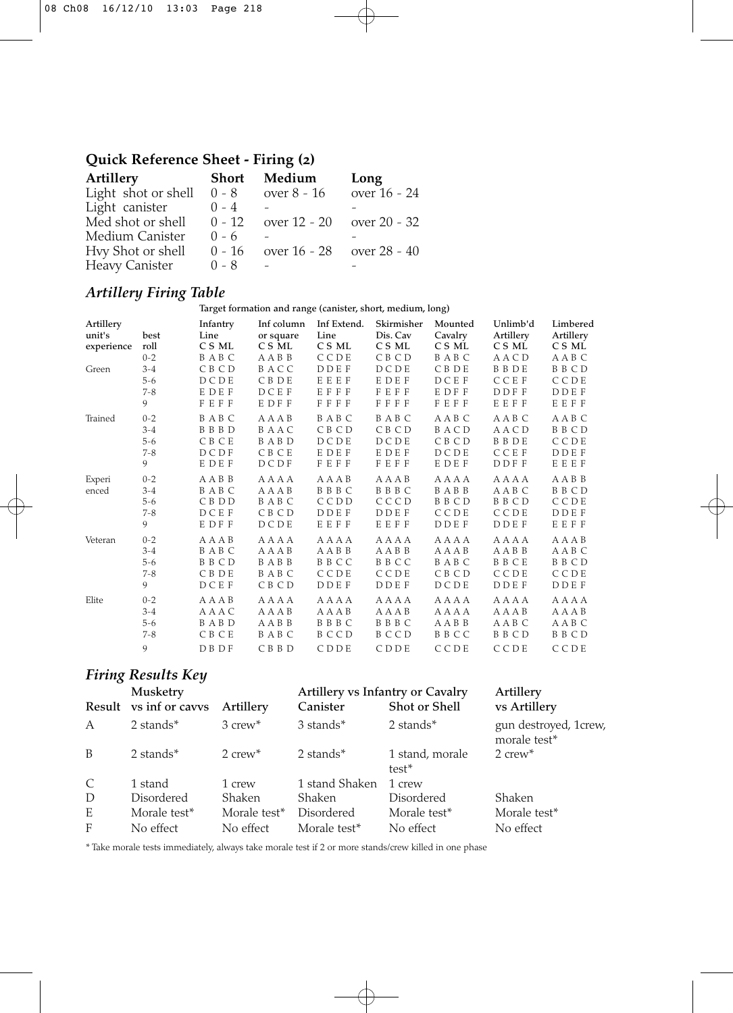# **Quick Reference Sheet - Firing (2)**

| Artillery           | <b>Short</b> | Medium       | Long         |
|---------------------|--------------|--------------|--------------|
| Light shot or shell | $0 - 8$      | over 8 - 16  | over 16 - 24 |
| Light canister      | $0 - 4$      |              |              |
| Med shot or shell   | $0 - 12$     | over 12 - 20 | over 20 - 32 |
| Medium Canister     | $0 - 6$      |              |              |
| Hvy Shot or shell   | $0 - 16$     | over 16 - 28 | over 28 - 40 |
| Heavy Canister      | $0 - 8$      |              |              |

# *Artillery Firing Table*

**Target formation and range (canister, short, medium, long)**

| Artillery<br>unit's<br>experience | best<br>roll<br>$0 - 2$                       | Infantry<br>Line<br>C S ML<br>B A B C              | Inf column<br>or square<br>C S ML<br>AABB  | Inf Extend.<br>Line<br>C S ML<br>CCDE                 | Skirmisher<br>Dis. Cav<br>C S ML<br>CB CD          | Mounted<br>Cavalry<br>C S ML<br>B A B C                      | Unlimb'd<br>Artillery<br>C S ML<br>AACD        | Limbered<br>Artillery<br>C S ML<br>AABC            |
|-----------------------------------|-----------------------------------------------|----------------------------------------------------|--------------------------------------------|-------------------------------------------------------|----------------------------------------------------|--------------------------------------------------------------|------------------------------------------------|----------------------------------------------------|
| Green                             | $3 - 4$                                       | CBCD                                               | BACC                                       | <b>DDEF</b>                                           | DCDE                                               | CBDE                                                         | <b>BBDE</b>                                    | <b>BBCD</b>                                        |
|                                   | $5 - 6$                                       | DCDE                                               | CBDE                                       | EEEF                                                  | EDEF                                               | DCEF                                                         | CCEF                                           | CCDE                                               |
|                                   | $7 - 8$                                       | <b>EDEF</b>                                        | DCEF                                       | EFFF                                                  | FEFF                                               | E DF F                                                       | <b>DDFF</b>                                    | <b>DDEF</b>                                        |
|                                   | 9                                             | FEFF                                               | E DF F                                     | FFFF                                                  | FFFF                                               | FEFF                                                         | EEFF                                           | EEFF                                               |
| Trained                           | $0 - 2$                                       | B A B C                                            | AAAB                                       | <b>BABC</b>                                           | <b>BABC</b>                                        | A A B C                                                      | A A B C                                        | AABC                                               |
|                                   | $3 - 4$                                       | <b>BBBD</b>                                        | BAAC                                       | CBCD                                                  | CBCD                                               | BACD                                                         | AACD                                           | <b>BBCD</b>                                        |
|                                   | $5 - 6$                                       | CBCE                                               | <b>BABD</b>                                | DCDE                                                  | DCDE                                               | CBCD                                                         | <b>BBDE</b>                                    | CCDE                                               |
|                                   | $7 - 8$                                       | DCDF                                               | CBCE                                       | <b>EDEF</b>                                           | <b>EDEF</b>                                        | DCDE                                                         | CCEF                                           | <b>DDEF</b>                                        |
|                                   | 9                                             | <b>EDEF</b>                                        | DCDF                                       | FEFF                                                  | FEFF                                               | E D E F                                                      | <b>DDFF</b>                                    | EEEF                                               |
| Experi<br>enced                   | $0 - 2$<br>$3 - 4$<br>$5 - 6$<br>$7 - 8$<br>9 | AABB<br><b>BABC</b><br>CBDD<br>DCEF<br><b>EDFF</b> | A A A A<br>AAAB<br>B A B C<br>CBCD<br>DCDE | A A A B<br><b>BBBC</b><br>CCDD<br><b>DDEF</b><br>EEFF | AAAB<br><b>BBBC</b><br>CCCD<br><b>DDEF</b><br>EEFF | A A A A<br><b>BABB</b><br><b>BBCD</b><br>CCDE<br><b>DDEF</b> | A A A A<br>AABC<br><b>BBCD</b><br>CCDE<br>DDEF | AABB<br><b>BBCD</b><br>CCDE<br><b>DDEF</b><br>EEFF |
| Veteran                           | $0 - 2$                                       | AAAB                                               | AAAA                                       | A A A A                                               | AAAA                                               | A A A A                                                      | A A A A                                        | AAAB                                               |
|                                   | $3 - 4$                                       | B A B C                                            | AAAB                                       | AABB                                                  | AABB                                               | AAAB                                                         | A A B B                                        | A A B C                                            |
|                                   | $5 - 6$                                       | <b>BBCD</b>                                        | B A B B                                    | BBCC                                                  | BBCC                                               | B A B C                                                      | BBCE                                           | <b>BBCD</b>                                        |
|                                   | $7 - 8$                                       | <b>CBDE</b>                                        | <b>BABC</b>                                | CCDE                                                  | CCDE                                               | CBCD                                                         | CCDE                                           | CCDE                                               |
|                                   | 9                                             | DCEF                                               | CBCD                                       | <b>DDEF</b>                                           | DDEF                                               | DCDE                                                         | <b>DDEF</b>                                    | <b>DDEF</b>                                        |
| Elite                             | $0 - 2$                                       | AAAB                                               | AAAA                                       | <b>AAAA</b>                                           | AAAA                                               | AAAA                                                         | A A A A                                        | <b>AAAA</b>                                        |
|                                   | $3 - 4$                                       | AAAC                                               | AAAB                                       | AAAB                                                  | AAAB                                               | AAAA                                                         | AAAB                                           | AAAB                                               |
|                                   | $5 - 6$                                       | <b>BABD</b>                                        | AABB                                       | <b>BBBC</b>                                           | <b>BBBC</b>                                        | A A B B                                                      | A A B C                                        | AABC                                               |
|                                   | $7-8$                                         | CBCE                                               | B A B C                                    | BCCD                                                  | BCCD                                               | BBCC                                                         | <b>BBCD</b>                                    | <b>BBCD</b>                                        |
|                                   | 9                                             | DB DF                                              | CBBD                                       | CDDE                                                  | CDDE                                               | CCDE                                                         | CCDE                                           | CCDE                                               |

# *Firing Results Key*

|              | Musketry<br>Result vs inf or cavys | Artillery             | Artillery vs Infantry or Cavalry<br>Canister | Shot or Shell              | Artillery<br>vs Artillery             |
|--------------|------------------------------------|-----------------------|----------------------------------------------|----------------------------|---------------------------------------|
| $\mathsf{A}$ | $2$ stands*                        | $3$ crew <sup>*</sup> | 3 stands*                                    | 2 stands*                  | gun destroyed, 1crew,<br>morale test* |
| B            | 2 stands $*$                       | 2 crew $*$            | 2 stands*                                    | 1 stand, morale<br>$test*$ | $2 \text{ crew}^*$                    |
| $\mathsf{C}$ | 1 stand                            | 1 crew                | 1 stand Shaken                               | 1 crew                     |                                       |
| D            | <b>Disordered</b>                  | <b>Shaken</b>         | Shaken                                       | Disordered                 | Shaken                                |
| E            | Morale test*                       | Morale test*          | <b>Disordered</b>                            | Morale test*               | Morale test*                          |
| F            | No effect                          | No effect             | Morale test*                                 | No effect                  | No effect                             |

\* Take morale tests immediately, always take morale test if 2 or more stands/crew killed in one phase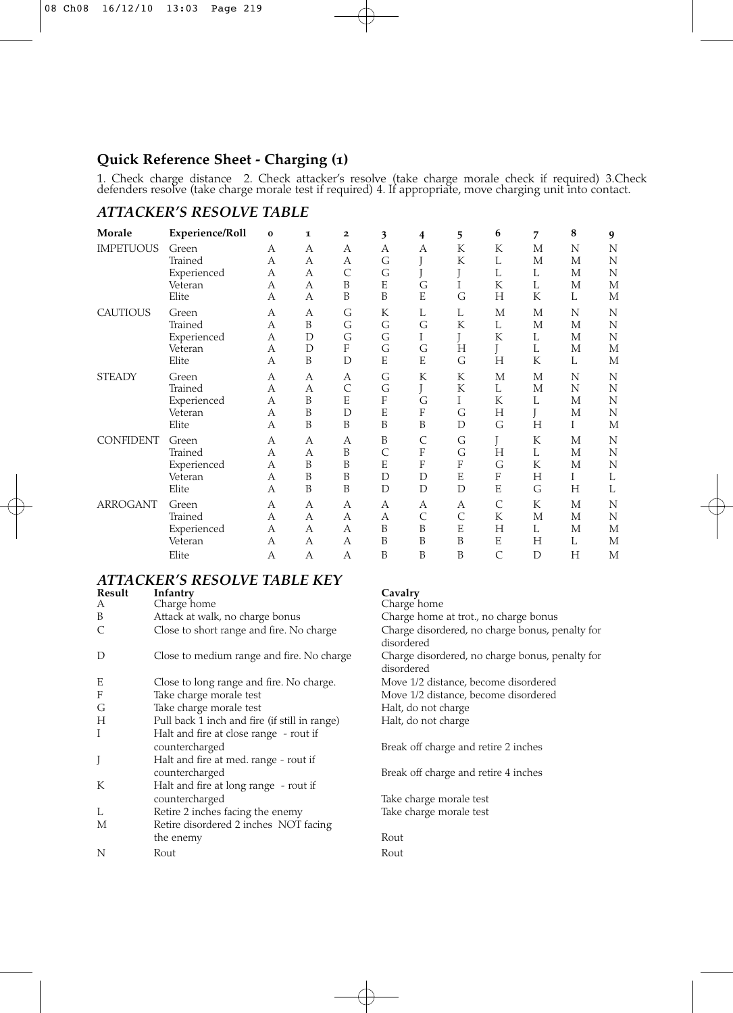#### **Quick Reference Sheet - Charging (1)**

1. Check charge distance 2. Check attacker's resolve (take charge morale check if required) 3.Check defenders resolve (take charge morale test if required) 4. If appropriate, move charging unit into contact.

#### *ATTACKER'S RESOLVE TABLE*

| Morale           | Experience/Roll                                     | $\bf{0}$              | 1                                             | $\mathbf{2}$                     | 3                     | 4            | 5                     | 6                     | 7                     | 8                     | 9                     |
|------------------|-----------------------------------------------------|-----------------------|-----------------------------------------------|----------------------------------|-----------------------|--------------|-----------------------|-----------------------|-----------------------|-----------------------|-----------------------|
| <b>IMPETUOUS</b> | Green<br>Trained<br>Experienced<br>Veteran<br>Elite | А<br>А<br>A<br>А<br>А | А<br>$\mathbf{A}$<br>A<br>A<br>$\overline{A}$ | А<br>A<br>$\mathsf{C}$<br>B<br>B | А<br>G<br>G<br>E<br>B | А<br>G<br>E  | К<br>K<br>J<br>Ι<br>G | K<br>L<br>L<br>K<br>H | М<br>М<br>L<br>L<br>K | N<br>М<br>М<br>М<br>L | N<br>N<br>N<br>M<br>M |
| <b>CAUTIOUS</b>  | Green                                               | А                     | A                                             | G                                | K                     | L            | L                     | M                     | М                     | N                     | N                     |
|                  | Trained                                             | A                     | B                                             | G                                | G                     | G            | К                     | L                     | М                     | М                     | N                     |
|                  | Experienced                                         | А                     | D                                             | G                                | G                     | I            | Ţ                     | K                     | L                     | M                     | N                     |
|                  | Veteran                                             | А                     | D                                             | F                                | G                     | G            | Н                     | J                     | L                     | М                     | M                     |
|                  | Elite                                               | A                     | B                                             | D                                | E                     | E            | G                     | H                     | K                     | Г                     | M                     |
| <b>STEADY</b>    | Green                                               | А                     | A                                             | А                                | G                     | К            | К                     | M                     | М                     | N                     | N                     |
|                  | Trained                                             | А                     | A                                             | $\mathsf{C}$                     | G                     | J            | K                     | L                     | M                     | N                     | N                     |
|                  | Experienced                                         | А                     | B                                             | E                                | F                     | G            | Ι                     | K                     | L                     | М                     | N                     |
|                  | Veteran                                             | А                     | B                                             | D                                | E                     | F            | G                     | H                     | J                     | М                     | N                     |
|                  | Elite                                               | А                     | B                                             | B                                | B                     | B            | D                     | G                     | Н                     | Ι                     | M                     |
| <b>CONFIDENT</b> | Green                                               | А                     | A                                             | А                                | B                     | C            | G                     | J                     | К                     | М                     | N                     |
|                  | Trained                                             | А                     | A                                             | B                                | $\mathsf{C}$          | $\rm F$      | G                     | H                     | L                     | М                     | N                     |
|                  | Experienced                                         | A                     | B                                             | B                                | E                     | $\mathbf F$  | F                     | G                     | К                     | М                     | N                     |
|                  | Veteran                                             | A                     | B                                             | B                                | D                     | D            | E                     | F                     | Н                     | I                     | L                     |
|                  | Elite                                               | А                     | B                                             | B                                | D                     | D            | D                     | E                     | G                     | H                     | L                     |
| <b>ARROGANT</b>  | Green                                               | А                     | А                                             | А                                | А                     | А            | А                     | C                     | K                     | М                     | N                     |
|                  | Trained                                             | A                     | A                                             | A                                | A                     | $\mathsf{C}$ | C                     | К                     | М                     | М                     | N                     |
|                  | Experienced                                         | А                     | A                                             | A                                | B                     | B            | E                     | H                     | L                     | М                     | M                     |
|                  | Veteran                                             | А                     | A                                             | А                                | B                     | B            | B                     | E                     | Н                     | Г                     | M                     |
|                  | Elite                                               | А                     | А                                             | A                                | B                     | B            | B                     | C                     | D                     | H                     | M                     |

#### *ATTACKER'S RESOLVE TABLE KEY* **Example 1 Infantry Cavalry**

| А | Charge home                                   | Char  |
|---|-----------------------------------------------|-------|
| B | Attack at walk, no charge bonus               | Char  |
| C | Close to short range and fire. No charge      | Char  |
|   |                                               | disor |
| D | Close to medium range and fire. No charge     | Char  |
|   |                                               | disor |
| Ε | Close to long range and fire. No charge.      | Mov   |
| F | Take charge morale test                       | Mov   |
| G | Take charge morale test                       | Halt, |
| Н | Pull back 1 inch and fire (if still in range) | Halt, |
| T | Halt and fire at close range - rout if        |       |
|   | countercharged                                | Breal |
|   | Halt and fire at med. range - rout if         |       |
|   | countercharged                                | Breal |
| К | Halt and fire at long range - rout if         |       |
|   | countercharged                                | Take  |
| L | Retire 2 inches facing the enemy              | Take  |
| М | Retire disordered 2 inches NOT facing         |       |
|   | the enemy                                     | Rout  |
| N | Rout                                          | Rout  |
|   |                                               |       |

Charge home Charge home at trot., no charge bonus Charge disordered, no charge bonus, penalty for disordered Charge disordered, no charge bonus, penalty for disordered Move 1/2 distance, become disordered Move 1/2 distance, become disordered Halt, do not charge Halt, do not charge Break off charge and retire 2 inches

Break off charge and retire 4 inches

Take charge morale test Take charge morale test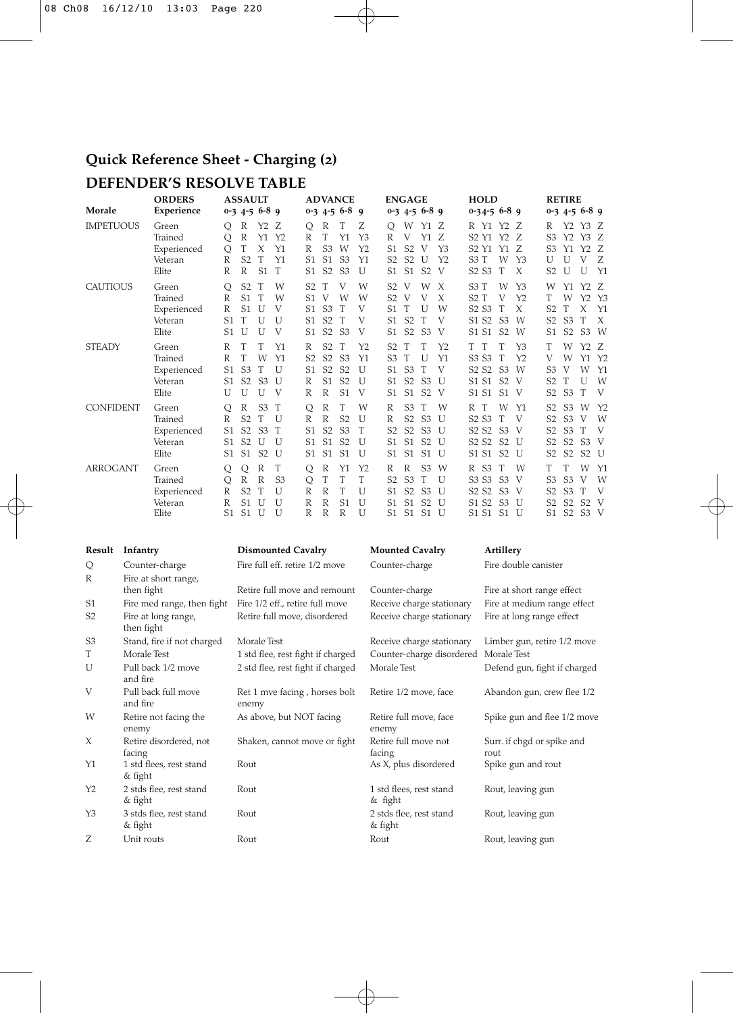# **Quick Reference Sheet - Charging (2)**

# **DEFENDER'S RESOLVE TABLE**

|                  | <b>ORDERS</b>                                       | <b>ASSAULT</b>                          |                                                               |                                                       |                                               |                                                |                                                                                            | <b>ADVANCE</b>                                           |                                       |                                                    | <b>ENGAGE</b>                                                                          |                                                     |                                         | <b>HOLD</b>                                                                                                                      |                                                     |                                | <b>RETIRE</b>                                                                          |                                                                            |                                          |                                |  |  |
|------------------|-----------------------------------------------------|-----------------------------------------|---------------------------------------------------------------|-------------------------------------------------------|-----------------------------------------------|------------------------------------------------|--------------------------------------------------------------------------------------------|----------------------------------------------------------|---------------------------------------|----------------------------------------------------|----------------------------------------------------------------------------------------|-----------------------------------------------------|-----------------------------------------|----------------------------------------------------------------------------------------------------------------------------------|-----------------------------------------------------|--------------------------------|----------------------------------------------------------------------------------------|----------------------------------------------------------------------------|------------------------------------------|--------------------------------|--|--|
| Morale           | Experience                                          | $0-3$ 4-5 6-8 9                         |                                                               |                                                       |                                               |                                                |                                                                                            | $0 - 3$ 4-5 6-8 9                                        |                                       |                                                    |                                                                                        | $0-3$ 4-5 6-8 9                                     |                                         | $0 - 34 - 56 - 89$                                                                                                               |                                                     |                                |                                                                                        | $0 - 3$ 4-5 6-8 9                                                          |                                          |                                |  |  |
| <b>IMPETUOUS</b> | Green<br>Trained<br>Experienced<br>Veteran<br>Elite | $\circ$<br>$\circ$<br>$\circ$<br>R<br>R | R<br>$\mathbb{R}$<br>T<br>S <sub>2</sub><br>R                 | Y2 Z<br>Y1<br>X<br>T<br>S1                            | Y <sub>2</sub><br>Y1<br>Y1<br>$\mathbf T$     | O<br>$\mathbb{R}$<br>R<br>S <sub>1</sub><br>S1 | R<br>T<br>S <sub>3</sub> W<br><b>S1</b><br>S2 S3                                           | T<br>Y1<br>S <sub>3</sub>                                | Z.<br>Y <sub>3</sub><br>Y2<br>Y1<br>U | O<br>R<br>S1<br>S <sub>2</sub><br>S1               | V<br>$S2$ V<br>S <sub>2</sub>                                                          | W Y1 Z<br>Y1Z<br>U<br>S1 S2 V                       | Y <sub>3</sub><br>Y <sub>2</sub>        | R Y1 Y2 Z<br>S2 Y1 Y2 Z<br>S2 Y1 Y1 Z<br>S <sub>3</sub> T<br>S <sub>2</sub> S <sub>3</sub>                                       | W<br>T                                              | Y3<br>$\chi$                   | R<br>S <sub>3</sub><br>S <sub>3</sub><br>U<br>S <sub>2</sub>                           | U<br>U                                                                     | Y2 Y3 Z<br>Y2 Y3 Z<br>Y1 Y2 Z<br>V<br>U  | Z<br>Y1                        |  |  |
| <b>CAUTIOUS</b>  | Green<br>Trained<br>Experienced<br>Veteran<br>Elite | Q<br>R<br>R<br>S <sub>1</sub><br>S1     | S <sub>2</sub><br><b>S1</b><br>S1 U<br>T<br>U                 | T<br>T<br>U<br>U                                      | W<br>W<br>V<br>U<br>V                         | S <sub>2</sub><br>S1<br>S1<br>S1<br>S1         | T<br>V<br>S <sub>3</sub> T<br>$S2$ T<br>S2 S3                                              | V<br>W                                                   | W<br>W<br>V<br>V<br>V                 | S <sub>2</sub><br>S <sub>2</sub><br>S1<br>S1       | V<br>- V<br>T<br>S1 S2<br>S <sub>2</sub>                                               | W<br>V<br>U<br>T<br>S <sub>3</sub> V                | $\boldsymbol{\chi}$<br>$\chi$<br>W<br>V | S <sub>3</sub> T<br>S2T<br>S <sub>2</sub> S <sub>3</sub><br>S <sub>1</sub> S <sub>2</sub><br>S1 S1 S2 W                          | W<br>V<br>T<br>S <sub>3</sub> W                     | Y <sub>3</sub><br>Y2<br>$\chi$ | W<br>T<br>S <sub>2</sub><br>S <sub>2</sub><br>S1                                       | W<br>T.<br>S <sub>3</sub><br>S <sub>2</sub> S <sub>3</sub>                 | Y1 Y2 Z<br>Y <sub>2</sub><br>$\chi$<br>T | $Y_3$<br>Y1<br>X<br>W          |  |  |
| <b>STEADY</b>    | Green<br>Trained<br>Experienced<br>Veteran<br>Elite | R<br>R<br>S1<br>S1<br>U                 | T<br>S <sub>3</sub><br>S <sub>2</sub><br>U                    | T<br>W<br>T<br>S <sub>3</sub><br>U                    | Y1<br>Y1<br>$\mathbf{U}$<br>U<br>V            | R<br>S <sub>2</sub><br>S1<br>R<br>R            | $S2$ T<br>S <sub>2</sub> S <sub>3</sub><br>S <sub>2</sub> S <sub>2</sub><br><b>S1</b><br>R | <b>S2</b><br>S <sub>1</sub>                              | Y2<br>Y1<br>U<br>U<br>V               | S <sub>2</sub><br>S <sub>3</sub><br>S1<br>S1<br>S1 | T<br>T<br>S <sub>3</sub><br>S <sub>2</sub><br>S1                                       | т<br>U<br>T<br>S <sub>3</sub> U<br>S <sub>2</sub> V | Y2<br>Y1<br>V                           | T T<br>S <sub>3</sub> S <sub>3</sub><br>S2 S2 S3 W<br>S <sub>1</sub> S <sub>1</sub><br>S1 S1                                     | T<br>T<br>S <sub>2</sub> V<br>S1 V                  | Y <sub>3</sub><br>Y2           | T<br>V<br>S <sub>3</sub><br>S <sub>2</sub><br>S <sub>2</sub>                           | W<br>V<br>T<br>S3 T                                                        | W Y2 Z<br>Y1<br>W<br>U                   | Y <sub>2</sub><br>Y1<br>W<br>V |  |  |
| <b>CONFIDENT</b> | Green<br>Trained<br>Experienced<br>Veteran<br>Elite | O<br>$\mathbb{R}$<br>S1<br>S1<br>S1     | R<br>S <sub>2</sub><br>S <sub>2</sub><br>S <sub>2</sub>       | S <sub>3</sub><br>T<br>S <sub>3</sub><br>U<br>S1 S2 U | T<br>U<br>T<br>$\mathbf{U}$                   | Q<br>R<br>S1<br>S1<br>S1                       | R<br>$\mathbb{R}$<br>S <sub>2</sub><br><b>S1</b><br>S1                                     | T<br>S <sub>2</sub><br>S <sub>3</sub><br><b>S2</b><br>S1 | W<br>U<br>T<br>U<br>U                 | R<br>R<br>S <sub>2</sub><br>S1<br>S1               | S <sub>3</sub><br>S <sub>2</sub><br>S <sub>2</sub><br>S <sub>1</sub><br>S <sub>1</sub> | T<br>$S3$ U<br>S <sub>3</sub> U<br>$S2$ U<br>S1 U   | W                                       | R T<br>S <sub>2</sub> S <sub>3</sub><br>S <sub>2</sub> S <sub>2</sub> S <sub>3</sub> V<br>S <sub>2</sub> S <sub>2</sub><br>S1 S1 | W<br>T<br>$S2$ U<br>S <sub>2</sub> U                | <sup>Y1</sup><br>V             | S <sub>2</sub><br>S <sub>2</sub><br>S <sub>2</sub><br>S <sub>2</sub><br>S <sub>2</sub> | S <sub>3</sub> W<br>S <sub>3</sub> V<br>S <sub>3</sub> T<br>S <sub>2</sub> | S <sub>3</sub> V<br>S2 S2 U              | Y <sub>2</sub><br>W<br>V       |  |  |
| <b>ARROGANT</b>  | Green<br>Trained<br>Experienced<br>Veteran<br>Elite | O<br>O<br>R<br>$\mathbb{R}$<br>S1       | $\circ$<br>$\mathbb R$<br>S <sub>2</sub><br><b>S1</b><br>S1 U | R<br>$\mathbb{R}$<br>T<br>U                           | T<br>S <sub>3</sub><br>U<br>$\mathbf{I}$<br>U | O<br>Q<br>R<br>R<br>$\mathbb{R}$               | R<br>T<br>R<br>R<br>$\mathbb{R}$                                                           | Y1<br>T<br>T<br>S <sub>1</sub><br>R                      | Y <sub>2</sub><br>T<br>U<br>U<br>U    | R<br>S <sub>2</sub><br>S <sub>1</sub><br>S1<br>S1  | R<br>S <sub>3</sub><br>S <sub>2</sub><br>S <sub>1</sub><br>S1                          | S <sub>3</sub><br>T<br>$S3$ U<br>$S2$ U<br>S1 U     | W<br>$\mathbf{U}$                       | R S3<br>S3 S3<br>S <sub>2</sub> S <sub>2</sub><br>S <sub>1</sub> S <sub>2</sub><br>S1 S1 S1 U                                    | T<br>S <sub>3</sub> V<br>S <sub>3</sub> V<br>$S3$ U | W                              | T<br>S <sub>3</sub><br>S <sub>2</sub><br>S <sub>2</sub><br>S1                          | т<br>S <sub>3</sub><br>S <sub>3</sub> T<br>S <sub>2</sub>                  | W<br>V<br>S <sub>2</sub><br>S2 S3 V      | Y1<br>W<br>V<br>V              |  |  |

| Result         | Infantry                           | <b>Dismounted Cavalry</b>              | <b>Mounted Cavalry</b>             | Artillery                          |
|----------------|------------------------------------|----------------------------------------|------------------------------------|------------------------------------|
| Q              | Counter-charge                     | Fire full eff. retire 1/2 move         | Counter-charge                     | Fire double canister               |
| R              | Fire at short range,               |                                        |                                    |                                    |
|                | then fight                         | Retire full move and remount           | Counter-charge                     | Fire at short range effect         |
| S1             | Fire med range, then fight         | Fire 1/2 eff., retire full move        | Receive charge stationary          | Fire at medium range effect        |
| S <sub>2</sub> | Fire at long range,<br>then fight  | Retire full move, disordered           | Receive charge stationary          | Fire at long range effect          |
| S <sub>3</sub> | Stand, fire if not charged         | Morale Test                            | Receive charge stationary          | Limber gun, retire 1/2 move        |
| T              | Morale Test                        | 1 std flee, rest fight if charged      | Counter-charge disordered          | Morale Test                        |
| U              | Pull back 1/2 move<br>and fire     | 2 std flee, rest fight if charged      | Morale Test                        | Defend gun, fight if charged       |
| V              | Pull back full move<br>and fire    | Ret 1 mve facing, horses bolt<br>enemy | Retire 1/2 move, face              | Abandon gun, crew flee 1/2         |
| W              | Retire not facing the<br>enemy     | As above, but NOT facing               | Retire full move, face<br>enemy    | Spike gun and flee 1/2 move        |
| $\chi$         | Retire disordered, not<br>facing   | Shaken, cannot move or fight           | Retire full move not<br>facing     | Surr. if chgd or spike and<br>rout |
| Y1             | 1 std flees, rest stand<br>& fight | Rout                                   | As X, plus disordered              | Spike gun and rout                 |
| Y <sub>2</sub> | 2 stds flee, rest stand<br>& fight | Rout                                   | 1 std flees, rest stand<br>& fight | Rout, leaving gun                  |
| Y3             | 3 stds flee, rest stand<br>& fight | Rout                                   | 2 stds flee, rest stand<br>& fight | Rout, leaving gun                  |
| Ζ              | Unit routs                         | Rout                                   | Rout                               | Rout, leaving gun                  |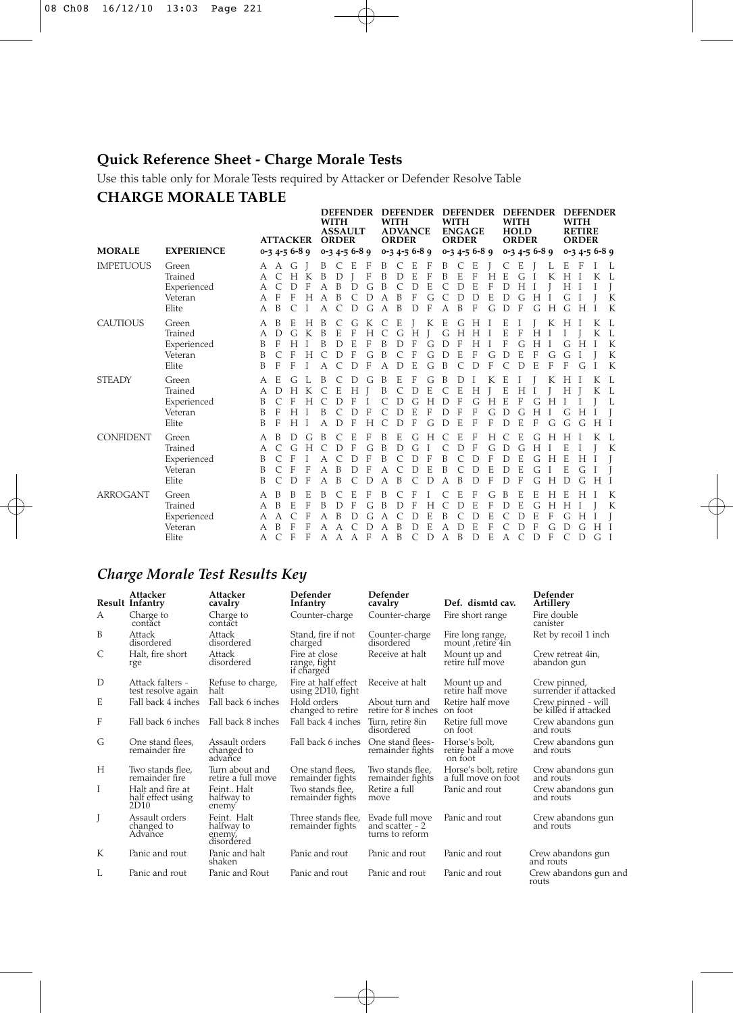## **Quick Reference Sheet - Charge Morale Tests**

Use this table only for Morale Tests required by Attacker or Defender Resolve Table

### **CHARGE MORALE TABLE**

| <b>MORALE</b>    | <b>EXPERIENCE</b>                                   |                       | <b>ATTACKER</b>                     |                                  |                       | <b>DEFENDER</b><br><b>WITH</b><br><b>ASSAULT</b><br><b>ORDER</b>       |                                                      |                                  |                         |                                    | <b>WITH</b><br><b>ADVANCE</b><br><b>ORDER</b> |                                              |                                          | DEFENDER DEFENDER<br><b>WITH</b><br><b>ENGAGE</b><br><b>ORDER</b><br>$0 - 34 - 56 - 89$ |                                           |                                   |                       |                                                     | <b>WITH</b><br><b>HOLD</b><br><b>ORDER</b>   |                         | <b>DEFENDER</b>  |                              | <b>DEFENDER</b><br><b>WITH</b><br><b>RETIRE</b><br><b>ORDER</b><br>$0 - 34 - 56 - 89$ |            |                  |  |
|------------------|-----------------------------------------------------|-----------------------|-------------------------------------|----------------------------------|-----------------------|------------------------------------------------------------------------|------------------------------------------------------|----------------------------------|-------------------------|------------------------------------|-----------------------------------------------|----------------------------------------------|------------------------------------------|-----------------------------------------------------------------------------------------|-------------------------------------------|-----------------------------------|-----------------------|-----------------------------------------------------|----------------------------------------------|-------------------------|------------------|------------------------------|---------------------------------------------------------------------------------------|------------|------------------|--|
|                  |                                                     |                       | $0 - 34 - 56 - 89$                  |                                  |                       |                                                                        | $0-3$ 4-5 6-8 9                                      |                                  |                         |                                    | $0 - 3$ 4-5 6-8 9                             |                                              |                                          |                                                                                         |                                           |                                   |                       |                                                     | $0 - 34 - 56 - 89$                           |                         |                  |                              |                                                                                       |            |                  |  |
| <b>IMPETUOUS</b> | Green<br>Trained<br>Experienced<br>Veteran<br>Elite | A<br>A<br>A           | A A G I<br>F<br>B                   | H K<br>D<br>F<br>$\mathcal{C}$   | F<br>H                | B<br>B<br>$\overline{A}$<br>A<br>A                                     | <sup>-</sup> C<br>D<br>B<br>B<br>$\mathcal{C}$       | E<br>- T<br>D<br>C<br>D          | - F<br>F<br>G<br>D<br>G | B<br>B<br>B<br>А<br>$\overline{A}$ | C<br>D<br>$\mathcal{C}$<br>B<br>B             | Е<br>E<br>D<br>F<br>D                        | F<br>F<br>E<br>G<br>F                    | B<br>B<br>$\mathcal{C}$<br>$\mathsf{C}$<br>$\overline{A}$                               | C<br>E<br>D<br>D<br>B                     | Е<br>F<br>E<br>D<br>F             | H<br>F<br>E<br>G      | C<br>E<br>D<br>D<br>$\mathbb{D}$                    | Ε<br>H <sub>I</sub><br>G<br>F                | $H$ I<br>G              | L<br>K<br>H      | Ε<br>H<br>G<br>G             | H                                                                                     |            | К<br>K           |  |
| <b>CAUTIOUS</b>  | Green<br>Trained<br>Experienced<br>Veteran<br>Elite | А<br>А<br>B<br>B<br>B | B<br>D<br>F<br>F                    | Ε<br>G<br>H<br>F<br>F            | $H$ $B$<br>К<br>H     | B<br>B<br>A                                                            | C<br>Ε<br>D<br>D<br>$\subset$                        | G<br>F<br>E<br>F<br>$\mathbb{D}$ | K C<br>Н<br>F<br>G<br>F | C<br>B<br>B<br>A                   | E<br>G<br>D<br>C<br>D                         | F<br>F<br>E                                  | K E<br>$H$ $\overline{I}$<br>G<br>G<br>G | G<br>D<br>D<br>B                                                                        | G<br>H H<br>F<br>E<br>$\subset$           | HI<br>H<br>F<br>$\mathbb{D}$      | T<br>G<br>F           | Е<br>Ε<br>F<br>$\mathbb{D}$<br>$\subset$            | F<br>G<br>E<br>D                             | H I<br>$H$ I<br>F<br>E  | G<br>F           | G<br>G<br>F                  |                                                                                       | К          | L<br>K<br>К<br>К |  |
| <b>STEADY</b>    | Green<br>Trained<br>Experienced<br>Veteran<br>Elite | А<br>А<br>B<br>B<br>B | Ε<br>D<br>$\subset$<br>F<br>F       | G<br>F<br>H<br>H                 | H K<br>H<br>T         | B<br>C<br>$\subset$<br>A                                               | C<br>Ε<br>D<br>D                                     | D<br>H I<br>F<br>D<br>F          | G<br>F<br>Н             | B<br>B<br>$\subset$<br>C           | Ε<br>$\mathsf{C}$<br>D<br>D<br>D              | F<br>D<br>G<br>E<br>F                        | G<br>Ε<br>H<br>F<br>G                    | B<br>C<br>D<br>D<br>D                                                                   | D<br>Ε<br>$\mathbf{F}$<br>F<br>E          | Н<br>G<br>F<br>F                  | К<br>T<br>H<br>G<br>F | Е<br>Ε<br>E<br>$\mathcal{D}$<br>$\mathbb{D}$        | $H$ I<br>F<br>G<br>Е                         | G<br>H<br>F             | H<br>G           | H<br>G                       | H<br>G                                                                                | К<br>$H$ I |                  |  |
| <b>CONFIDENT</b> | Green<br>Trained<br>Experienced<br>Veteran<br>Elite | А<br>А<br>B<br>B<br>B | B<br>$\mathcal{C}$<br>$\mathcal{C}$ | D<br>G<br>F<br>D                 | G<br>H<br>F<br>F      | B<br>$\mathcal{C}$<br>$\overline{A}$<br>$\mathsf{A}$<br>$\overline{A}$ | $\mathcal{C}$<br>D<br>$\mathcal{C}$<br>B<br>B        | E<br>F<br>D<br>D                 | F<br>G<br>F<br>F<br>D   | B<br>B<br>B<br>A<br>A              | Ε<br>D<br>$\mathcal{C}$<br>$\mathcal{C}$<br>B | G<br>G<br>D<br>D<br>C                        | H<br>$\mathbf{I}$<br>F<br>E<br>D         | $\mathcal{C}$<br>C<br>B<br>B<br>A                                                       | E<br>D<br>$\mathcal{C}$<br>$\subset$<br>B | F<br>F<br>D<br>D<br>D             | H<br>G<br>F<br>E<br>F | $\subset$<br>D<br>$\mathbb{D}$<br>$\mathbb{D}$<br>D | E<br>G<br>E<br>E<br>F                        | G<br>H I<br>G<br>G<br>G | H<br>Н<br>H      | H<br>E<br>-E<br>Ð            | H                                                                                     | H          | К                |  |
| <b>ARROGANT</b>  | Green<br>Trained<br>Experienced<br>Veteran<br>Elite | А<br>A<br>А<br>A<br>А | B<br>B<br>А<br>B<br>$\mathcal{C}$   | B<br>E<br>C<br>F<br>$\mathbb{F}$ | E<br>F<br>F<br>F<br>F | B<br>B<br>$\mathsf{A}$<br>$\overline{A}$                               | $\mathcal{C}$<br>D<br>B<br>$\overline{A}$<br>A A A F | Ε<br>F<br>D                      | F<br>G<br>G<br>D        | B<br>B<br>А<br>A<br>A B            | C<br>D<br>C<br>B                              | F<br>F<br>D<br>$\mathbb{D}$<br>$\mathcal{C}$ | Н<br>E<br>E<br>$\mathcal{D}$             | C<br>$\mathsf{C}$<br>B<br>$\overline{A}$<br>А                                           | Ε<br>D<br>$\subset$<br>D<br>B             | F<br>Е<br>$\mathcal{D}$<br>E<br>D | G<br>F<br>E<br>F<br>E | B<br>D<br>C<br>$\subset$<br>А                       | E<br>E<br>D<br>$\mathbf{D}$<br>$\mathcal{C}$ | E<br>G<br>Ε<br>F<br>D   | Н<br>H<br>F<br>F | E<br>$H$ I<br>G<br>$\subset$ | H<br>D                                                                                | H<br>G     | К<br>К           |  |

# *Charge Morale Test Results Key*

|   | Attacker<br>Result Infantry                               | Attacker<br>cavalry                               | Defender<br>Infantry                        | Defender<br>cavalry                                   | Def. dismtd cav.                               | Defender<br>Artillery                       |
|---|-----------------------------------------------------------|---------------------------------------------------|---------------------------------------------|-------------------------------------------------------|------------------------------------------------|---------------------------------------------|
| A | Charge to<br>contact                                      | Charge to<br>contact                              | Counter-charge                              | Counter-charge                                        | Fire short range                               | Fire double<br>canister                     |
| B | Attack<br>disordered                                      | Attack<br>disordered                              | Stand, fire if not<br>charged               | Counter-charge<br>disordered                          | Fire long range,<br>mount retire 4in           | Ret by recoil 1 inch                        |
| C | Halt, fire short<br>rge                                   | Attack<br>disordered                              | Fire at close<br>range, fight<br>if charged | Receive at halt                                       | Mount up and<br>retire full move               | Crew retreat 4in.<br>abandon gun            |
| D | Attack falters -<br>test resolve again                    | Refuse to charge,<br>halt                         | Fire at half effect<br>using 2D10, fight    | Receive at halt                                       | Mount up and<br>retire half move               | Crew pinned,<br>surrender if attacked       |
| E | Fall back 4 inches                                        | Fall back 6 inches                                | Hold orders<br>changed to retire            | About turn and<br>retire for 8 inches on foot         | Retire half move                               | Crew pinned - will<br>be killed if attacked |
| F | Fall back 6 inches                                        | Fall back 8 inches                                | Fall back 4 inches                          | Turn, retire 8in<br>disordered                        | Retire full move<br>on foot                    | Crew abandons gun<br>and routs              |
| G | One stand flees,<br>remainder fire                        | Assault orders<br>changed to<br>advañce           | Fall back 6 inches                          | One stand flees-<br>remainder fights                  | Horse's bolt.<br>retire half a move<br>on foot | Crew abandons gun<br>and routs              |
| H | Two stands flee,<br>remainder fire                        | Turn about and<br>retire a full move              | One stand flees.<br>remainder fights        | Two stands flee.<br>remainder fights                  | Horse's bolt, retire<br>a full move on foot    | Crew abandons gun<br>and routs              |
| Ι | Halt and fire at<br>half effect using<br>2D <sub>10</sub> | Feint. Halt<br>halfway to<br>enemy                | Two stands flee.<br>remainder fights        | Retire a full<br>move                                 | Panic and rout                                 | Crew abandons gun<br>and routs              |
| J | Assault orders<br>changed to<br>Advance                   | Feint. Halt<br>halfway to<br>enemy,<br>disordered | Three stands flee.<br>remainder fights      | Evade full move<br>and scatter - 2<br>turns to reform | Panic and rout                                 | Crew abandons gun<br>and routs              |
| К | Panic and rout                                            | Panic and halt<br>shaken                          | Panic and rout                              | Panic and rout                                        | Panic and rout                                 | Crew abandons gun<br>and routs              |
| L | Panic and rout                                            | Panic and Rout                                    | Panic and rout                              | Panic and rout                                        | Panic and rout                                 | Crew abandons gun and<br>routs              |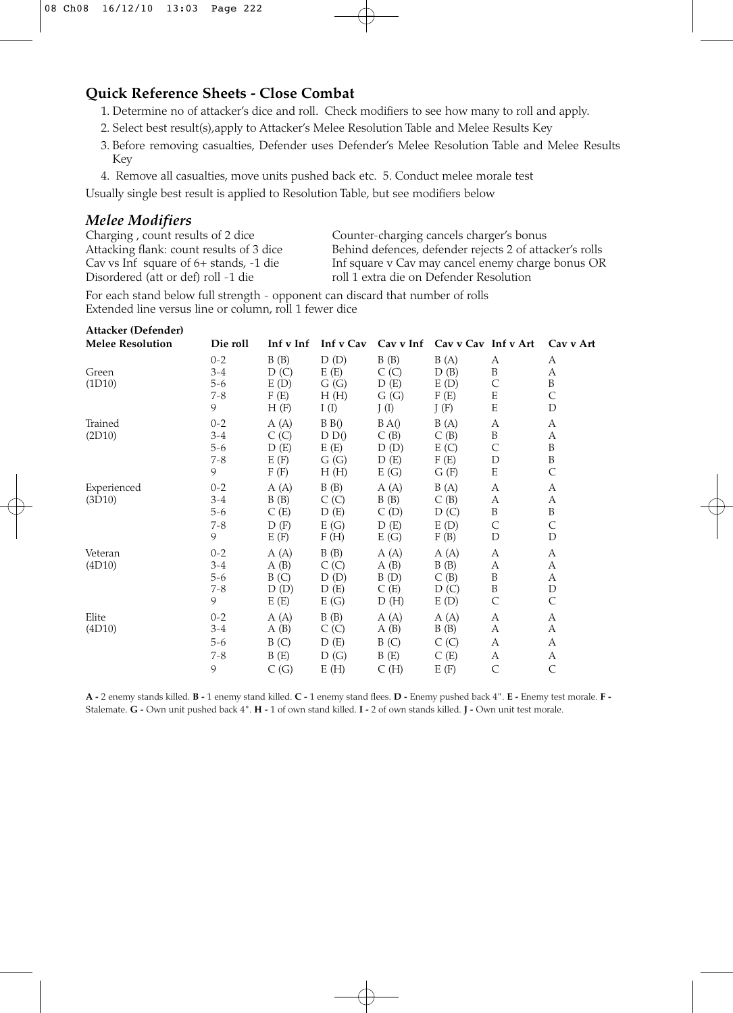#### **Quick Reference Sheets - Close Combat**

- 1. Determine no of attacker's dice and roll. Check modifiers to see how many to roll and apply.
- 2. Select best result(s),apply to Attacker's Melee Resolution Table and Melee Results Key
- 3. Before removing casualties, Defender uses Defender's Melee Resolution Table and Melee Results Key
- 4. Remove all casualties, move units pushed back etc. 5. Conduct melee morale test

Usually single best result is applied to Resolution Table, but see modifiers below

*Melee Modifiers*

Counter-charging cancels charger's bonus Attacking flank: count results of 3 dice Behind defences, defender rejects 2 of attacker's rolls<br>Cav vs Inf square of 6+ stands, -1 die Inf square v Cav may cancel enemy charge bonus OR Cav vs Inf square of 6+ stands, -1 die Inf square v Cav may cancel enemy charge bonus OR<br>Disordered (att or def) roll -1 die Inf square v Cav may cancel enemy charge bonus OR roll 1 extra die on Defender Resolution

For each stand below full strength - opponent can discard that number of rolls Extended line versus line or column, roll 1 fewer dice

|  | Attacker (Defender) |
|--|---------------------|
|--|---------------------|

| <b>Melee Resolution</b> | Die roll                                      | Inf v Inf                            | Inf v Cav                             | Cav v Inf                            | Cav v Cav Inf v Art                  |                                  | Cav v Art                        |
|-------------------------|-----------------------------------------------|--------------------------------------|---------------------------------------|--------------------------------------|--------------------------------------|----------------------------------|----------------------------------|
| Green<br>(1D10)         | $0 - 2$<br>$3-4$<br>$5 - 6$<br>$7 - 8$<br>9   | B(B)<br>D(C)<br>E(D)<br>F(E)<br>H(F) | D(D)<br>E(E)<br>G(G)<br>H(H)<br>I(I)  | B(B)<br>C(C)<br>D(E)<br>G(G)<br>J(1) | B(A)<br>D(B)<br>E(D)<br>F(E)<br>J(F) | А<br>B<br>C<br>E<br>E            | А<br>А<br>B<br>C<br>D            |
| Trained<br>(2D10)       | $0 - 2$<br>$3 - 4$<br>$5 - 6$<br>$7 - 8$<br>9 | A(A)<br>C(C)<br>D(E)<br>E(F)<br>F(F) | B(0)<br>D D()<br>E(E)<br>G(G)<br>H(H) | BA()<br>C(B)<br>D(D)<br>D(E)<br>E(G) | B(A)<br>C(B)<br>E(C)<br>F(E)<br>G(F) | А<br>B<br>C<br>D<br>E            | А<br>А<br>B<br>$\, {\bf B}$<br>C |
| Experienced<br>(3D10)   | $0 - 2$<br>$3-4$<br>$5 - 6$<br>$7 - 8$<br>9   | A(A)<br>B(B)<br>C(E)<br>D(F)<br>E(F) | B(B)<br>C(C)<br>D(E)<br>E(G)<br>F(H)  | A(A)<br>B(B)<br>C(D)<br>D(E)<br>E(G) | B(A)<br>C(B)<br>D(C)<br>E(D)<br>F(B) | А<br>А<br>B<br>$\mathsf{C}$<br>D | А<br>А<br>B<br>$\mathsf{C}$<br>D |
| Veteran<br>(4D10)       | $0 - 2$<br>$3 - 4$<br>$5 - 6$<br>$7 - 8$<br>9 | A(A)<br>A(B)<br>B(C)<br>D(D)<br>E(E) | B(B)<br>C(C)<br>D(D)<br>D(E)<br>E(G)  | A(A)<br>A(B)<br>B(D)<br>C(E)<br>D(H) | A(A)<br>B(B)<br>C(B)<br>D(C)<br>E(D) | А<br>А<br>B<br>B<br>$\mathsf{C}$ | A<br>А<br>А<br>D<br>C            |
| Elite<br>(4D10)         | $0 - 2$<br>$3 - 4$<br>$5 - 6$<br>$7 - 8$<br>9 | A(A)<br>A(B)<br>B(C)<br>B(E)<br>C(G) | B(B)<br>C(C)<br>D(E)<br>D(G)<br>E(H)  | A(A)<br>A(B)<br>B(C)<br>B(E)<br>C(H) | A(A)<br>B(B)<br>C(C)<br>C(E)<br>E(F) | А<br>А<br>А<br>А<br>C            | А<br>А<br>А<br>А<br>C            |

**A -** 2 enemy stands killed. **B -** 1 enemy stand killed. **C -** 1 enemy stand flees. **D -** Enemy pushed back 4". **E -** Enemy test morale. **F -** Stalemate. **G -** Own unit pushed back 4". **H -** 1 of own stand killed. **I -** 2 of own stands killed. **J -** Own unit test morale.